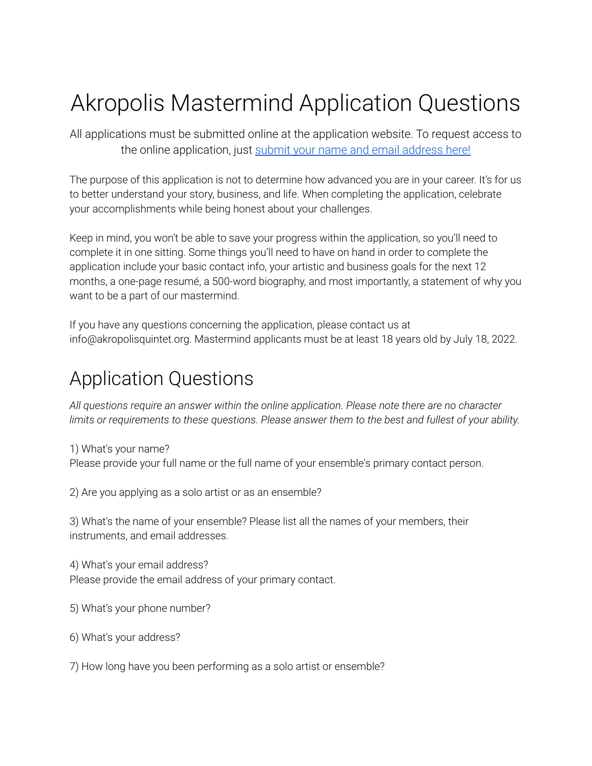# Akropolis Mastermind Application Questions

All applications must be submitted online at the application website. To request access to the online application, just [submit your name and](https://view.flodesk.com/pages/6234ff4a9b7136a9e313e4ba) email address here!

The purpose of this application is not to determine how advanced you are in your career. It's for us to better understand your story, business, and life. When completing the application, celebrate your accomplishments while being honest about your challenges.

Keep in mind, you won't be able to save your progress within the application, so you'll need to complete it in one sitting. Some things you'll need to have on hand in order to complete the application include your basic contact info, your artistic and business goals for the next 12 months, a one-page resumé, a 500-word biography, and most importantly, a statement of why you want to be a part of our mastermind.

If you have any questions concerning the application, please contact us at info@akropolisquintet.org. Mastermind applicants must be at least 18 years old by July 18, 2022.

## Application Questions

*All questions require an answer within the online application. Please note there are no character limits or requirements to these questions. Please answer them to the best and fullest of your ability.*

1) What's your name? Please provide your full name or the full name of your ensemble's primary contact person.

2) Are you applying as a solo artist or as an ensemble?

3) What's the name of your ensemble? Please list all the names of your members, their instruments, and email addresses.

4) What's your email address? Please provide the email address of your primary contact.

5) What's your phone number?

6) What's your address?

7) How long have you been performing as a solo artist or ensemble?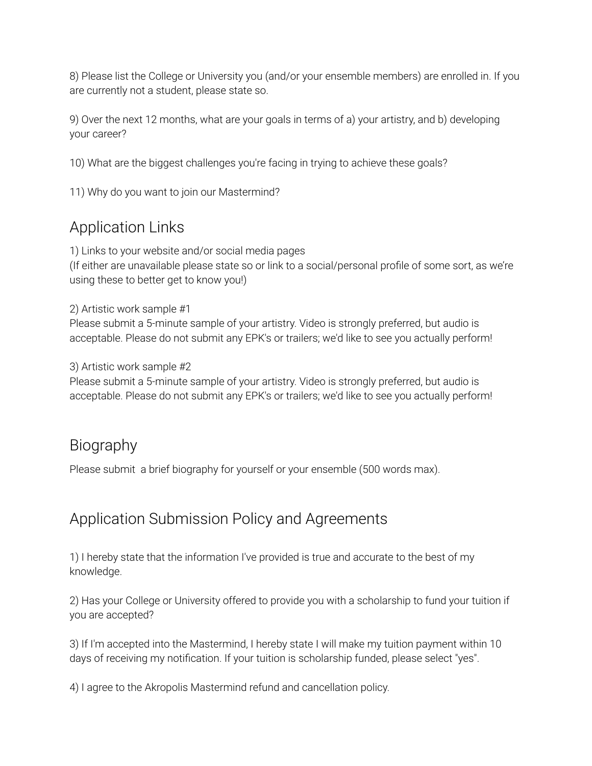8) Please list the College or University you (and/or your ensemble members) are enrolled in. If you are currently not a student, please state so.

9) Over the next 12 months, what are your goals in terms of a) your artistry, and b) developing your career?

10) What are the biggest challenges you're facing in trying to achieve these goals?

11) Why do you want to join our Mastermind?

## Application Links

1) Links to your website and/or social media pages (If either are unavailable please state so or link to a social/personal profile of some sort, as we're using these to better get to know you!)

#### 2) Artistic work sample #1

Please submit a 5-minute sample of your artistry. Video is strongly preferred, but audio is acceptable. Please do not submit any EPK's or trailers; we'd like to see you actually perform!

3) Artistic work sample #2

Please submit a 5-minute sample of your artistry. Video is strongly preferred, but audio is acceptable. Please do not submit any EPK's or trailers; we'd like to see you actually perform!

### Biography

Please submit a brief biography for yourself or your ensemble (500 words max).

## Application Submission Policy and Agreements

1) I hereby state that the information I've provided is true and accurate to the best of my knowledge.

2) Has your College or University offered to provide you with a scholarship to fund your tuition if you are accepted?

3) If I'm accepted into the Mastermind, I hereby state I will make my tuition payment within 10 days of receiving my notification. If your tuition is scholarship funded, please select "yes".

4) I agree to the Akropolis Mastermind refund and cancellation policy.